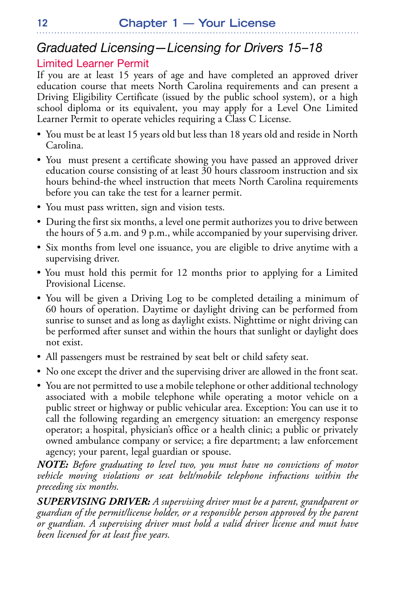## *Graduated Licensing—Licensing for Drivers 15–18*

### Limited Learner Permit

If you are at least 15 years of age and have completed an approved driver education course that meets North Carolina requirements and can present a Driving Eligibility Certificate (issued by the public school system), or a high school diploma or its equivalent, you may apply for a Level One Limited Learner Permit to operate vehicles requiring a Class C License.

- You must be at least 15 years old but less than 18 years old and reside in North Carolina.
- You must present a certificate showing you have passed an approved driver education course consisting of at least 30 hours classroom instruction and six hours behind-the wheel instruction that meets North Carolina requirements before you can take the test for a learner permit.
- You must pass written, sign and vision tests.
- During the first six months, a level one permit authorizes you to drive between the hours of 5 a.m. and 9 p.m., while accompanied by your supervising driver.
- Six months from level one issuance, you are eligible to drive anytime with a supervising driver.
- You must hold this permit for 12 months prior to applying for a Limited Provisional License.
- You will be given a Driving Log to be completed detailing a minimum of 60 hours of operation. Daytime or daylight driving can be performed from sunrise to sunset and as long as daylight exists. Nighttime or night driving can be performed after sunset and within the hours that sunlight or daylight does not exist.
- All passengers must be restrained by seat belt or child safety seat.
- No one except the driver and the supervising driver are allowed in the front seat.
- You are not permitted to use a mobile telephone or other additional technology associated with a mobile telephone while operating a motor vehicle on a public street or highway or public vehicular area. Exception: You can use it to call the following regarding an emergency situation: an emergency response operator; a hospital, physician's office or a health clinic; a public or privately owned ambulance company or service; a fire department; a law enforcement agency; your parent, legal guardian or spouse.

*NOTE: Before graduating to level two, you must have no convictions of motor vehicle moving violations or seat belt/mobile telephone infractions within the preceding six months.*

*SUPERVISING DRIVER: A supervising driver must be a parent, grandparent or guardian of the permit/license holder, or a responsible person approved by the parent or guardian. A supervising driver must hold a valid driver license and must have been licensed for at least five years.*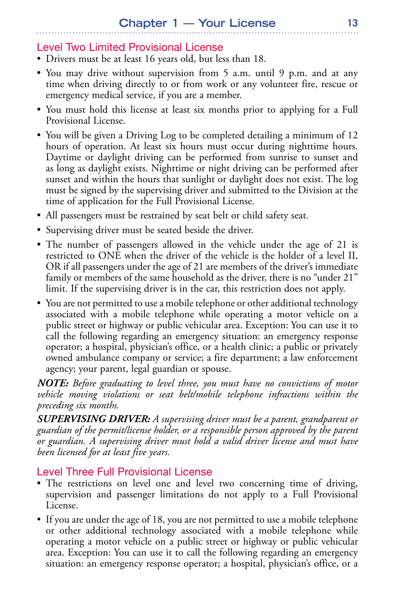### Level Two Limited Provisional License

- Drivers must be at least 16 years old, but less than 18.
- You may drive without supervision from 5 a.m. until 9 p.m. and at any time when driving directly to or from work or any volunteer fire, rescue or emergency medical service, if you are a member.
- You must hold this license at least six months prior to applying for a Full Provisional License.
- You will be given a Driving Log to be completed detailing a minimum of 12 hours of operation. At least six hours must occur during nighttime hours. Daytime or daylight driving can be performed from sunrise to sunset and as long as daylight exists. Nighttime or night driving can be performed after sunset and within the hours that sunlight or daylight does not exist. The log must be signed by the supervising driver and submitted to the Division at the time of application for the Full Provisional License.
- All passengers must be restrained by seat belt or child safety seat.
- Supervising driver must be seated beside the driver.
- The number of passengers allowed in the vehicle under the age of 21 is restricted to ONE when the driver of the vehicle is the holder of a level II, OR if all passengers under the age of 21 are members of the driver's immediate family or members of the same household as the driver, there is no "under 21" limit. If the supervising driver is in the car, this restriction does not apply.
- You are not permitted to use a mobile telephone or other additional technology associated with a mobile telephone while operating a motor vehicle on a public street or highway or public vehicular area. Exception: You can use it to call the following regarding an emergency situation: an emergency response operator; a hospital, physician's office, or a health clinic; a public or privately owned ambulance company or service; a fire department; a law enforcement agency; your parent, legal guardian or spouse.

*NOTE: Before graduating to level three, you must have no convictions of motor vehicle moving violations or seat belt/mobile telephone infractions within the preceding six months.*

*SUPERVISING DRIVER: A supervising driver must be a parent, grandparent or guardian of the permit/license holder, or a responsible person approved by the parent or guardian. A supervising driver must hold a valid driver license and must have been licensed for at least five years.*

### Level Three Full Provisional License

- The restrictions on level one and level two concerning time of driving, supervision and passenger limitations do not apply to a Full Provisional License.
- If you are under the age of 18, you are not permitted to use a mobile telephone or other additional technology associated with a mobile telephone while operating a motor vehicle on a public street or highway or public vehicular area. Exception: You can use it to call the following regarding an emergency situation: an emergency response operator; a hospital, physician's office, or a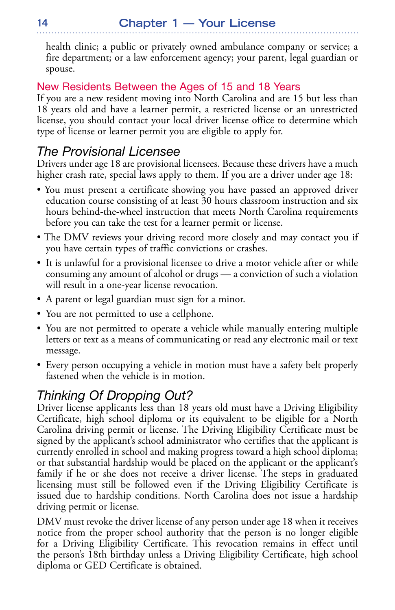health clinic; a public or privately owned ambulance company or service; a fire department; or a law enforcement agency; your parent, legal guardian or spouse.

### New Residents Between the Ages of 15 and 18 Years

If you are a new resident moving into North Carolina and are 15 but less than 18 years old and have a learner permit, a restricted license or an unrestricted license, you should contact your local driver license office to determine which type of license or learner permit you are eligible to apply for.

## *The Provisional Licensee*

Drivers under age 18 are provisional licensees. Because these drivers have a much higher crash rate, special laws apply to them. If you are a driver under age 18:

- You must present a certificate showing you have passed an approved driver education course consisting of at least 30 hours classroom instruction and six hours behind-the-wheel instruction that meets North Carolina requirements before you can take the test for a learner permit or license.
- The DMV reviews your driving record more closely and may contact you if you have certain types of traffic convictions or crashes.
- It is unlawful for a provisional licensee to drive a motor vehicle after or while consuming any amount of alcohol or drugs — a conviction of such a violation will result in a one-year license revocation.
- A parent or legal guardian must sign for a minor.
- You are not permitted to use a cellphone.
- You are not permitted to operate a vehicle while manually entering multiple letters or text as a means of communicating or read any electronic mail or text message.
- Every person occupying a vehicle in motion must have a safety belt properly fastened when the vehicle is in motion.

## *Thinking Of Dropping Out?*

Driver license applicants less than 18 years old must have a Driving Eligibility Certificate, high school diploma or its equivalent to be eligible for a North Carolina driving permit or license. The Driving Eligibility Certificate must be signed by the applicant's school administrator who certifies that the applicant is currently enrolled in school and making progress toward a high school diploma; or that substantial hardship would be placed on the applicant or the applicant's family if he or she does not receive a driver license. The steps in graduated licensing must still be followed even if the Driving Eligibility Certificate is issued due to hardship conditions. North Carolina does not issue a hardship driving permit or license.

DMV must revoke the driver license of any person under age 18 when it receives notice from the proper school authority that the person is no longer eligible for a Driving Eligibility Certificate. This revocation remains in effect until the person's 18th birthday unless a Driving Eligibility Certificate, high school diploma or GED Certificate is obtained.

**14**